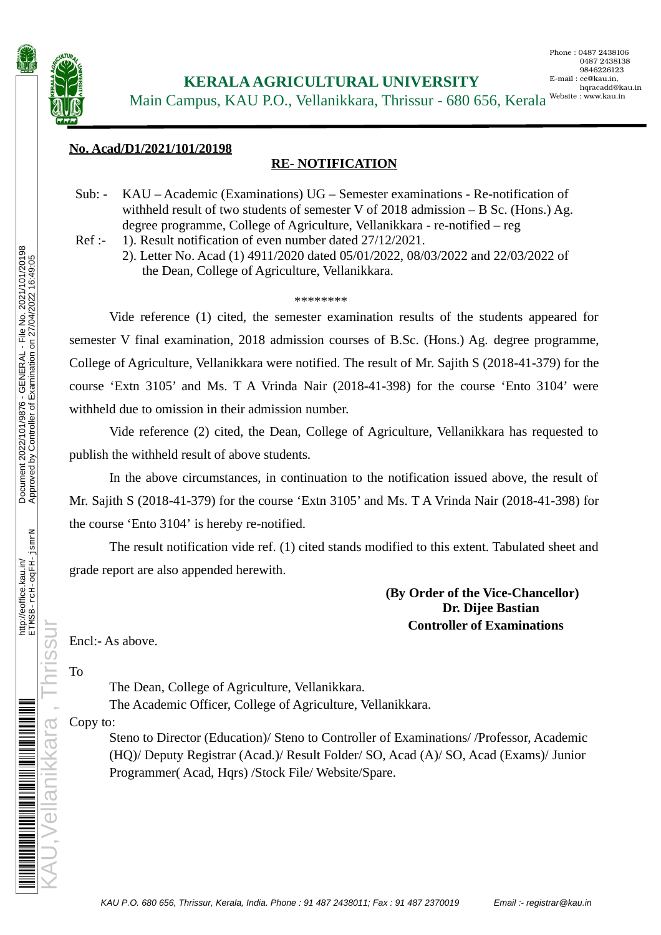

Main Campus, KAU P.O., Vellanikkara, Thrissur - 680 656, Kerala Website: www.kau.in

### **No. Acad/D1/2021/101/20198**

## **RE- NOTIFICATION**

Sub: - KAU – Academic (Examinations) UG – Semester examinations - Re-notification of withheld result of two students of semester V of 2018 admission – B Sc. (Hons.) Ag. degree programme, College of Agriculture, Vellanikkara - re-notified – reg

Ref :- 1). Result notification of even number dated 27/12/2021.

2). Letter No. Acad (1) 4911/2020 dated 05/01/2022, 08/03/2022 and 22/03/2022 of the Dean, College of Agriculture, Vellanikkara.

### \*\*\*\*\*\*\*\*

Vide reference (1) cited, the semester examination results of the students appeared for semester V final examination, 2018 admission courses of B.Sc. (Hons.) Ag. degree programme, College of Agriculture, Vellanikkara were notified. The result of Mr. Sajith S (2018-41-379) for the course 'Extn 3105' and Ms. T A Vrinda Nair (2018-41-398) for the course 'Ento 3104' were withheld due to omission in their admission number.

Vide reference (2) cited, the Dean, College of Agriculture, Vellanikkara has requested to publish the withheld result of above students.

In the above circumstances, in continuation to the notification issued above, the result of Mr. Sajith S (2018-41-379) for the course 'Extn 3105' and Ms. T A Vrinda Nair (2018-41-398) for the course 'Ento 3104' is hereby re-notified.

The result notification vide ref. (1) cited stands modified to this extent. Tabulated sheet and grade report are also appended herewith.

## **(By Order of the Vice-Chancellor) Dr. Dijee Bastian Controller of Examinations**

Encl:- As above.

KAU,Vellanikkara , Thrissur To

The Dean, College of Agriculture, Vellanikkara. The Academic Officer, College of Agriculture, Vellanikkara.

### Copy to:

Steno to Director (Education)/ Steno to Controller of Examinations/ /Professor, Academic (HQ)/ Deputy Registrar (Acad.)/ Result Folder/ SO, Acad (A)/ SO, Acad (Exams)/ Junior Programmer( Acad, Hqrs) /Stock File/ Website/Spare.

http://eoffice.kau.in/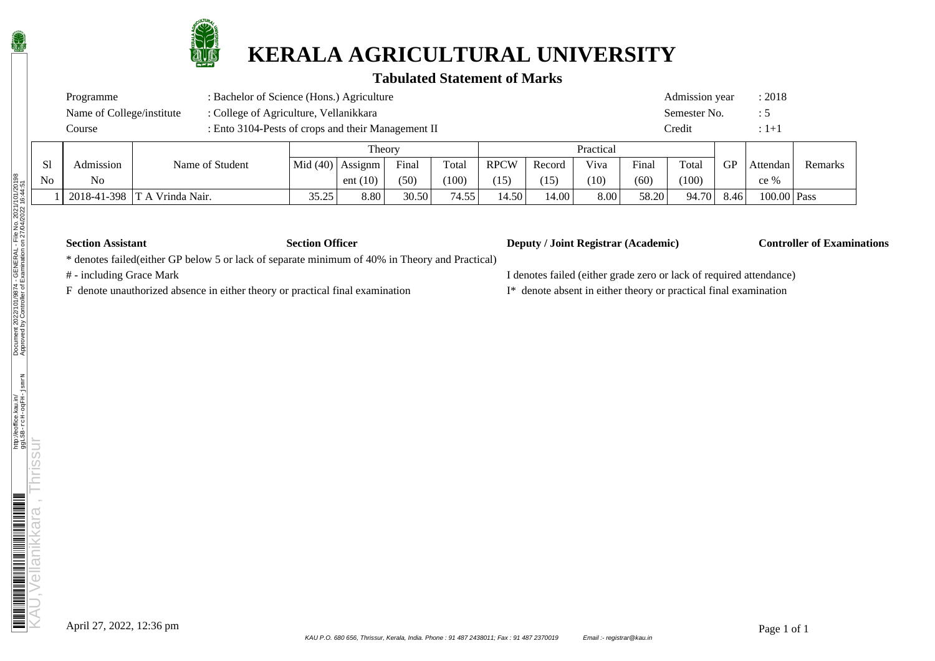

# **KERALA AGRICULTURAL UNIVERSITY**

# **Tabulated Statement of Marks**

|                                                                     | : Bachelor of Science (Hons.) Agriculture<br>Programme |  |                 |  |                      |       |       |             |        |              | Admission year |       | : 2018 |          |      |
|---------------------------------------------------------------------|--------------------------------------------------------|--|-----------------|--|----------------------|-------|-------|-------------|--------|--------------|----------------|-------|--------|----------|------|
| : College of Agriculture, Vellanikkara<br>Name of College/institute |                                                        |  |                 |  |                      |       |       |             |        | Semester No. | ः ऽ            |       |        |          |      |
| : Ento 3104-Pests of crops and their Management II<br>Course        |                                                        |  |                 |  |                      |       |       |             | Credit |              | $-1+1$         |       |        |          |      |
|                                                                     |                                                        |  |                 |  | Theory               |       |       |             |        | Practical    |                |       |        |          |      |
|                                                                     | Admission                                              |  | Name of Student |  | Mid $(40)$   Assignm | Final | Total | <b>RPCW</b> | Record | Viva         | Final          | Total | GP     | Attendan | Rema |

| Sl | Admission   | Name of Student   |                    | $Mid(40)$ Assignm | Final | Total            | <b>RPCW</b>       | Record     | Viva | Final | Total | GP   | Attendan      | Remarks |
|----|-------------|-------------------|--------------------|-------------------|-------|------------------|-------------------|------------|------|-------|-------|------|---------------|---------|
| No | No          |                   |                    | ent $(10)$        | (50)  | (100)            | $\left(15\right)$ | (15)<br>⊥ັ | (10) | (60)  | (100) |      | ce %          |         |
|    | 2018-41-398 | IT A Vrinda Nair. | 35.25<br>ر _ . _ . | 8.80              | 30.50 | 7155<br>. د 14.3 | 14.50             | 14.00      | 8.00 | 58.20 | 94.70 | 8.46 | $100.00$ Pass |         |

### **Section Assistant Section Officer Deputy / Joint Registrar (Academic) Controller of Examinations**

\* denotes failed(either GP below 5 or lack of separate minimum of 40% in Theory and Practical)

F denote unauthorized absence in either theory or practical final examination I\* denote absent in either theory or practical final examination

# - including Grace Mark I denotes failed (either grade zero or lack of required attendance)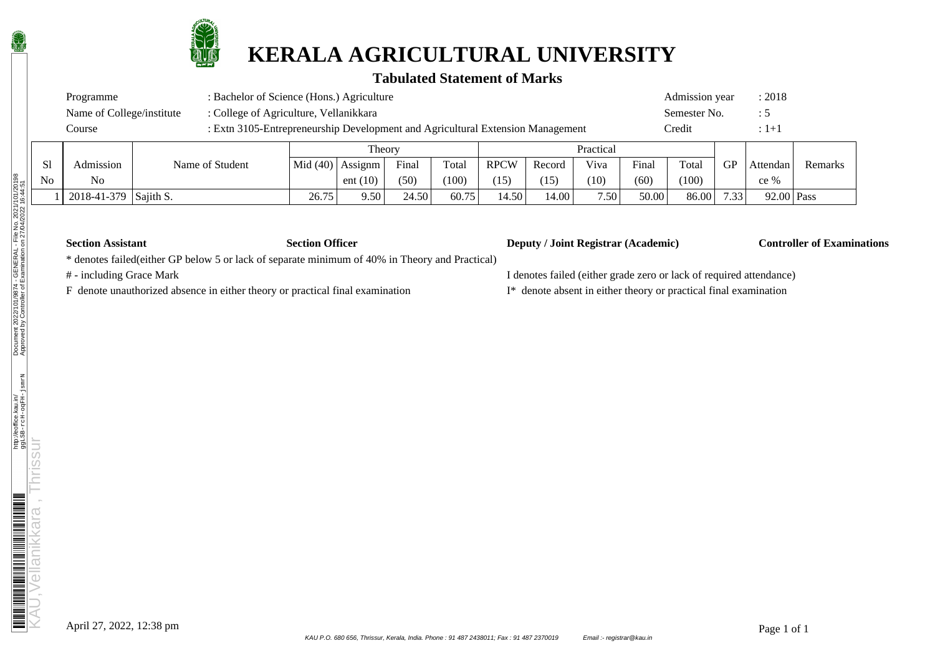

# **KERALA AGRICULTURAL UNIVERSITY**

# **Tabulated Statement of Marks**

| Programme                 | : Bachelor of Science (Hons.) Agriculture                                      | Admission year | : 2018        |  |  |
|---------------------------|--------------------------------------------------------------------------------|----------------|---------------|--|--|
| Name of College/institute | : College of Agriculture, Vellanikkara                                         | Semester No.   | $\mathcal{L}$ |  |  |
| Course                    | : Extn 3105-Entrepreneurship Development and Agricultural Extension Management | Credit         | $:1 + 1$      |  |  |
|                           | Theory                                                                         | Practical      |               |  |  |

|    |             |                 |       | 11001               |       |       |             |        | .                 |       |       |           |            |         |
|----|-------------|-----------------|-------|---------------------|-------|-------|-------------|--------|-------------------|-------|-------|-----------|------------|---------|
| S1 | Admission   | Name of Student |       | $ Mid(40) $ Assignm | Final | Total | <b>RPCW</b> | Record | Viva              | Final | Total | <b>GP</b> | Attendan   | Remarks |
| No | No          |                 |       | ent $(10)$          | (50)  | (100) | (15)        | (15    | (10)              | (60)  | (100) |           | $ce\%$     |         |
|    | 2018-41-379 | Sajith S.       | 26.75 | 9.50                | 24.50 | 60.75 | 14.50       | .4.00  | 7.50 <sub>1</sub> | 50.00 | 86.00 | 7.33      | 92.00 Pass |         |

| <b>Section Assistant</b> |  |
|--------------------------|--|
|--------------------------|--|

### **Section Officer Deputy / Joint Registrar (Academic) Controller of Examinations**

\* denotes failed(either GP below 5 or lack of separate minimum of 40% in Theory and Practical)

F denote unauthorized absence in either theory or practical final examination I\* denote absent in either theory or practical final examination

# - including Grace Mark I denotes failed (either grade zero or lack of required attendance)